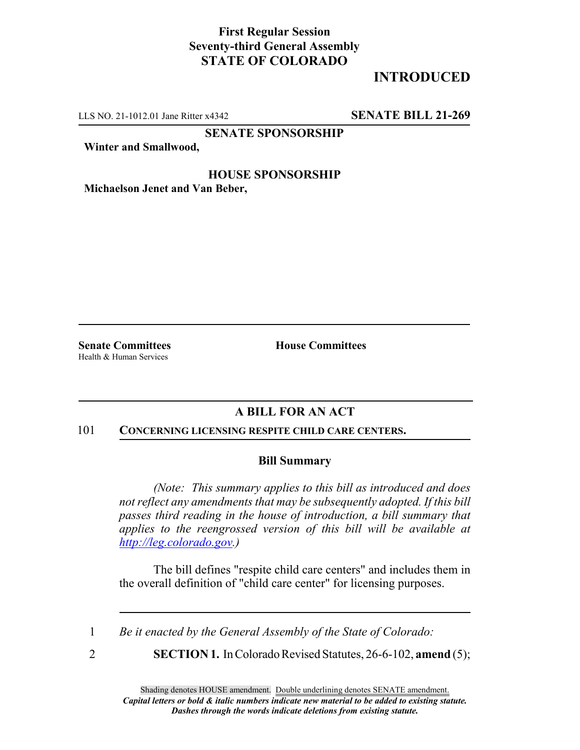### **First Regular Session Seventy-third General Assembly STATE OF COLORADO**

# **INTRODUCED**

LLS NO. 21-1012.01 Jane Ritter x4342 **SENATE BILL 21-269**

**SENATE SPONSORSHIP**

**Winter and Smallwood,**

#### **HOUSE SPONSORSHIP Michaelson Jenet and Van Beber,**

Health & Human Services

**Senate Committees House Committees** 

# **A BILL FOR AN ACT**

#### 101 **CONCERNING LICENSING RESPITE CHILD CARE CENTERS.**

### **Bill Summary**

*(Note: This summary applies to this bill as introduced and does not reflect any amendments that may be subsequently adopted. If this bill passes third reading in the house of introduction, a bill summary that applies to the reengrossed version of this bill will be available at http://leg.colorado.gov.)*

The bill defines "respite child care centers" and includes them in the overall definition of "child care center" for licensing purposes.

1 *Be it enacted by the General Assembly of the State of Colorado:*

2 **SECTION 1.** In Colorado Revised Statutes, 26-6-102, **amend** (5);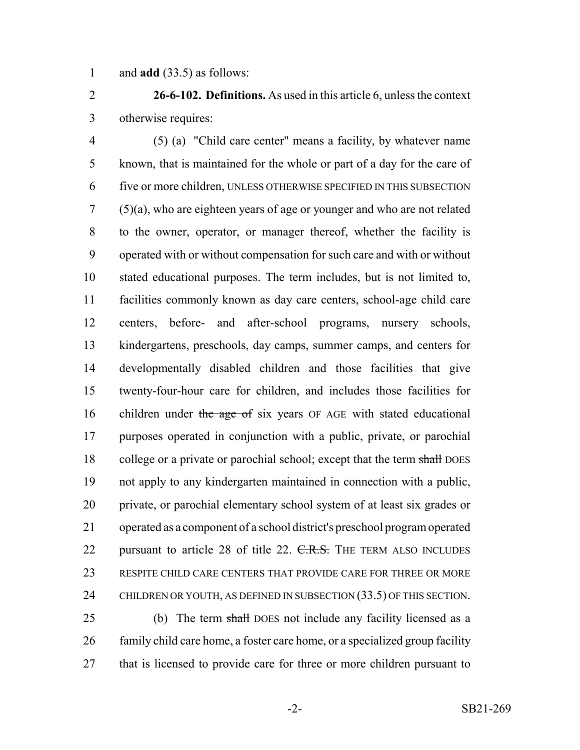and **add** (33.5) as follows:

 **26-6-102. Definitions.** As used in this article 6, unless the context otherwise requires:

 (5) (a) "Child care center" means a facility, by whatever name known, that is maintained for the whole or part of a day for the care of five or more children, UNLESS OTHERWISE SPECIFIED IN THIS SUBSECTION (5)(a), who are eighteen years of age or younger and who are not related to the owner, operator, or manager thereof, whether the facility is operated with or without compensation for such care and with or without stated educational purposes. The term includes, but is not limited to, facilities commonly known as day care centers, school-age child care centers, before- and after-school programs, nursery schools, kindergartens, preschools, day camps, summer camps, and centers for developmentally disabled children and those facilities that give twenty-four-hour care for children, and includes those facilities for 16 children under the age of six years OF AGE with stated educational purposes operated in conjunction with a public, private, or parochial 18 college or a private or parochial school; except that the term shall DOES not apply to any kindergarten maintained in connection with a public, private, or parochial elementary school system of at least six grades or operated as a component of a school district's preschool program operated 22 pursuant to article 28 of title 22. C.R.S. THE TERM ALSO INCLUDES RESPITE CHILD CARE CENTERS THAT PROVIDE CARE FOR THREE OR MORE CHILDREN OR YOUTH, AS DEFINED IN SUBSECTION (33.5) OF THIS SECTION.

25 (b) The term shall DOES not include any facility licensed as a family child care home, a foster care home, or a specialized group facility 27 that is licensed to provide care for three or more children pursuant to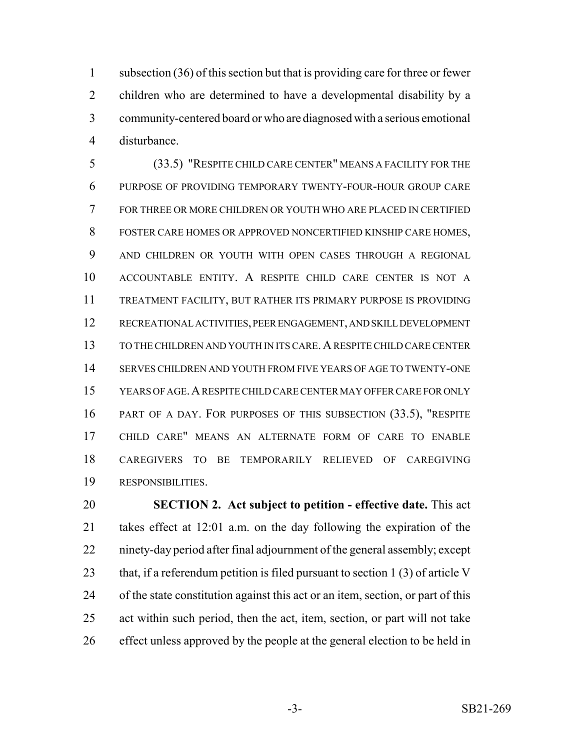subsection (36) of this section but that is providing care for three or fewer children who are determined to have a developmental disability by a community-centered board or who are diagnosed with a serious emotional disturbance.

 (33.5) "RESPITE CHILD CARE CENTER" MEANS A FACILITY FOR THE PURPOSE OF PROVIDING TEMPORARY TWENTY-FOUR-HOUR GROUP CARE FOR THREE OR MORE CHILDREN OR YOUTH WHO ARE PLACED IN CERTIFIED FOSTER CARE HOMES OR APPROVED NONCERTIFIED KINSHIP CARE HOMES, AND CHILDREN OR YOUTH WITH OPEN CASES THROUGH A REGIONAL ACCOUNTABLE ENTITY. A RESPITE CHILD CARE CENTER IS NOT A TREATMENT FACILITY, BUT RATHER ITS PRIMARY PURPOSE IS PROVIDING RECREATIONAL ACTIVITIES, PEER ENGAGEMENT, AND SKILL DEVELOPMENT TO THE CHILDREN AND YOUTH IN ITS CARE.A RESPITE CHILD CARE CENTER SERVES CHILDREN AND YOUTH FROM FIVE YEARS OF AGE TO TWENTY-ONE YEARS OF AGE.A RESPITE CHILD CARE CENTER MAY OFFER CARE FOR ONLY PART OF A DAY. FOR PURPOSES OF THIS SUBSECTION (33.5), "RESPITE CHILD CARE" MEANS AN ALTERNATE FORM OF CARE TO ENABLE CAREGIVERS TO BE TEMPORARILY RELIEVED OF CAREGIVING RESPONSIBILITIES.

 **SECTION 2. Act subject to petition - effective date.** This act takes effect at 12:01 a.m. on the day following the expiration of the ninety-day period after final adjournment of the general assembly; except 23 that, if a referendum petition is filed pursuant to section 1 (3) of article V of the state constitution against this act or an item, section, or part of this act within such period, then the act, item, section, or part will not take effect unless approved by the people at the general election to be held in